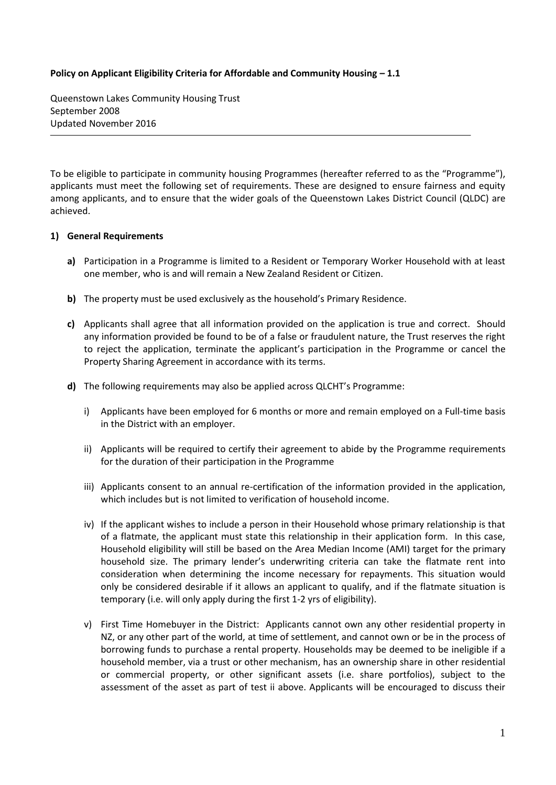# **Policy on Applicant Eligibility Criteria for Affordable and Community Housing – 1.1**

Queenstown Lakes Community Housing Trust September 2008 Updated November 2016

To be eligible to participate in community housing Programmes (hereafter referred to as the "Programme"), applicants must meet the following set of requirements. These are designed to ensure fairness and equity among applicants, and to ensure that the wider goals of the Queenstown Lakes District Council (QLDC) are achieved.

# **1) General Requirements**

- **a)** Participation in a Programme is limited to a Resident or Temporary Worker Household with at least one member, who is and will remain a New Zealand Resident or Citizen.
- **b)** The property must be used exclusively as the household's Primary Residence.
- **c)** Applicants shall agree that all information provided on the application is true and correct. Should any information provided be found to be of a false or fraudulent nature, the Trust reserves the right to reject the application, terminate the applicant's participation in the Programme or cancel the Property Sharing Agreement in accordance with its terms.
- **d)** The following requirements may also be applied across QLCHT's Programme:
	- i) Applicants have been employed for 6 months or more and remain employed on a Full-time basis in the District with an employer.
	- ii) Applicants will be required to certify their agreement to abide by the Programme requirements for the duration of their participation in the Programme
	- iii) Applicants consent to an annual re-certification of the information provided in the application, which includes but is not limited to verification of household income.
	- iv) If the applicant wishes to include a person in their Household whose primary relationship is that of a flatmate, the applicant must state this relationship in their application form. In this case, Household eligibility will still be based on the Area Median Income (AMI) target for the primary household size. The primary lender's underwriting criteria can take the flatmate rent into consideration when determining the income necessary for repayments. This situation would only be considered desirable if it allows an applicant to qualify, and if the flatmate situation is temporary (i.e. will only apply during the first 1-2 yrs of eligibility).
	- v) First Time Homebuyer in the District: Applicants cannot own any other residential property in NZ, or any other part of the world, at time of settlement, and cannot own or be in the process of borrowing funds to purchase a rental property. Households may be deemed to be ineligible if a household member, via a trust or other mechanism, has an ownership share in other residential or commercial property, or other significant assets (i.e. share portfolios), subject to the assessment of the asset as part of test ii above. Applicants will be encouraged to discuss their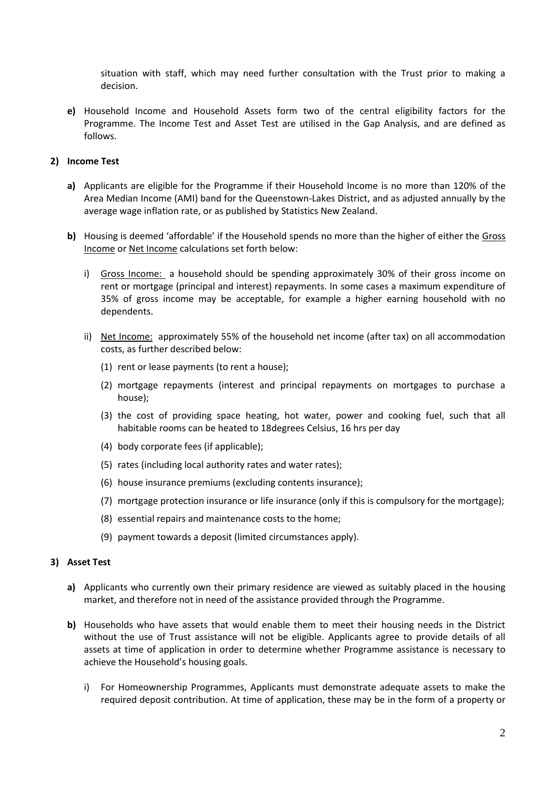situation with staff, which may need further consultation with the Trust prior to making a decision.

**e)** Household Income and Household Assets form two of the central eligibility factors for the Programme. The Income Test and Asset Test are utilised in the Gap Analysis, and are defined as follows.

### **2) Income Test**

- **a)** Applicants are eligible for the Programme if their Household Income is no more than 120% of the Area Median Income (AMI) band for the Queenstown-Lakes District, and as adjusted annually by the average wage inflation rate, or as published by Statistics New Zealand.
- **b)** Housing is deemed 'affordable' if the Household spends no more than the higher of either the Gross Income or Net Income calculations set forth below:
	- i) Gross Income: a household should be spending approximately 30% of their gross income on rent or mortgage (principal and interest) repayments. In some cases a maximum expenditure of 35% of gross income may be acceptable, for example a higher earning household with no dependents.
	- ii) Net Income: approximately 55% of the household net income (after tax) on all accommodation costs, as further described below:
		- (1) rent or lease payments (to rent a house);
		- (2) mortgage repayments (interest and principal repayments on mortgages to purchase a house);
		- (3) the cost of providing space heating, hot water, power and cooking fuel, such that all habitable rooms can be heated to 18degrees Celsius, 16 hrs per day
		- (4) body corporate fees (if applicable);
		- (5) rates (including local authority rates and water rates);
		- (6) house insurance premiums (excluding contents insurance);
		- (7) mortgage protection insurance or life insurance (only if this is compulsory for the mortgage);
		- (8) essential repairs and maintenance costs to the home;
		- (9) payment towards a deposit (limited circumstances apply).

### **3) Asset Test**

- **a)** Applicants who currently own their primary residence are viewed as suitably placed in the housing market, and therefore not in need of the assistance provided through the Programme.
- **b)** Households who have assets that would enable them to meet their housing needs in the District without the use of Trust assistance will not be eligible. Applicants agree to provide details of all assets at time of application in order to determine whether Programme assistance is necessary to achieve the Household's housing goals.
	- i) For Homeownership Programmes, Applicants must demonstrate adequate assets to make the required deposit contribution. At time of application, these may be in the form of a property or